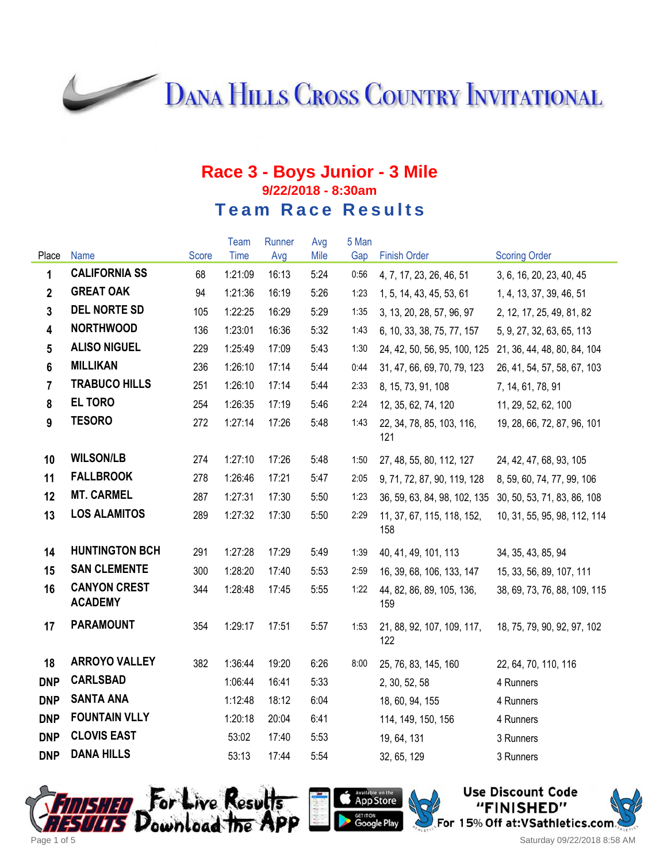**DANA HILLS CROSS COUNTRY INVITATIONAL** 

### **Race 3 - Boys Junior - 3 Mile 9/22/2018 - 8:30am Team Race Results**

|                         |                                       |       | Team    | Runner | Avg  | 5 Man |                                   |                              |
|-------------------------|---------------------------------------|-------|---------|--------|------|-------|-----------------------------------|------------------------------|
| Place                   | <b>Name</b>                           | Score | Time    | Avg    | Mile | Gap   | <b>Finish Order</b>               | <b>Scoring Order</b>         |
| 1                       | <b>CALIFORNIA SS</b>                  | 68    | 1:21:09 | 16:13  | 5:24 | 0:56  | 4, 7, 17, 23, 26, 46, 51          | 3, 6, 16, 20, 23, 40, 45     |
| $\overline{2}$          | <b>GREAT OAK</b>                      | 94    | 1:21:36 | 16:19  | 5:26 | 1:23  | 1, 5, 14, 43, 45, 53, 61          | 1, 4, 13, 37, 39, 46, 51     |
| $\overline{3}$          | <b>DEL NORTE SD</b>                   | 105   | 1:22:25 | 16:29  | 5:29 | 1:35  | 3, 13, 20, 28, 57, 96, 97         | 2, 12, 17, 25, 49, 81, 82    |
| $\overline{\mathbf{4}}$ | <b>NORTHWOOD</b>                      | 136   | 1:23:01 | 16:36  | 5:32 | 1:43  | 6, 10, 33, 38, 75, 77, 157        | 5, 9, 27, 32, 63, 65, 113    |
| $5\phantom{.0}$         | <b>ALISO NIGUEL</b>                   | 229   | 1:25:49 | 17:09  | 5:43 | 1:30  | 24, 42, 50, 56, 95, 100, 125      | 21, 36, 44, 48, 80, 84, 104  |
| $6\phantom{a}$          | <b>MILLIKAN</b>                       | 236   | 1:26:10 | 17:14  | 5:44 | 0:44  | 31, 47, 66, 69, 70, 79, 123       | 26, 41, 54, 57, 58, 67, 103  |
| $\overline{7}$          | <b>TRABUCO HILLS</b>                  | 251   | 1:26:10 | 17:14  | 5:44 | 2:33  | 8, 15, 73, 91, 108                | 7, 14, 61, 78, 91            |
| 8                       | <b>EL TORO</b>                        | 254   | 1:26:35 | 17:19  | 5:46 | 2:24  | 12, 35, 62, 74, 120               | 11, 29, 52, 62, 100          |
| 9                       | <b>TESORO</b>                         | 272   | 1:27:14 | 17:26  | 5:48 | 1:43  | 22, 34, 78, 85, 103, 116,<br>121  | 19, 28, 66, 72, 87, 96, 101  |
| 10                      | <b>WILSON/LB</b>                      | 274   | 1:27:10 | 17:26  | 5:48 | 1:50  | 27, 48, 55, 80, 112, 127          | 24, 42, 47, 68, 93, 105      |
| 11                      | <b>FALLBROOK</b>                      | 278   | 1:26:46 | 17:21  | 5:47 | 2:05  | 9, 71, 72, 87, 90, 119, 128       | 8, 59, 60, 74, 77, 99, 106   |
| 12                      | <b>MT. CARMEL</b>                     | 287   | 1:27:31 | 17:30  | 5:50 | 1:23  | 36, 59, 63, 84, 98, 102, 135      | 30, 50, 53, 71, 83, 86, 108  |
| 13                      | <b>LOS ALAMITOS</b>                   | 289   | 1:27:32 | 17:30  | 5:50 | 2:29  | 11, 37, 67, 115, 118, 152,<br>158 | 10, 31, 55, 95, 98, 112, 114 |
| 14                      | <b>HUNTINGTON BCH</b>                 | 291   | 1:27:28 | 17:29  | 5:49 | 1:39  | 40, 41, 49, 101, 113              | 34, 35, 43, 85, 94           |
| 15                      | <b>SAN CLEMENTE</b>                   | 300   | 1:28:20 | 17:40  | 5:53 | 2:59  | 16, 39, 68, 106, 133, 147         | 15, 33, 56, 89, 107, 111     |
| 16                      | <b>CANYON CREST</b><br><b>ACADEMY</b> | 344   | 1:28:48 | 17:45  | 5:55 | 1:22  | 44, 82, 86, 89, 105, 136,<br>159  | 38, 69, 73, 76, 88, 109, 115 |
| 17                      | <b>PARAMOUNT</b>                      | 354   | 1:29:17 | 17:51  | 5:57 | 1:53  | 21, 88, 92, 107, 109, 117,<br>122 | 18, 75, 79, 90, 92, 97, 102  |
| 18                      | <b>ARROYO VALLEY</b>                  | 382   | 1:36:44 | 19:20  | 6:26 | 8:00  | 25, 76, 83, 145, 160              | 22, 64, 70, 110, 116         |
| <b>DNP</b>              | <b>CARLSBAD</b>                       |       | 1:06:44 | 16:41  | 5:33 |       | 2, 30, 52, 58                     | 4 Runners                    |
| <b>DNP</b>              | <b>SANTA ANA</b>                      |       | 1:12:48 | 18:12  | 6:04 |       | 18, 60, 94, 155                   | 4 Runners                    |
| <b>DNP</b>              | <b>FOUNTAIN VLLY</b>                  |       | 1:20:18 | 20:04  | 6:41 |       | 114, 149, 150, 156                | 4 Runners                    |
| <b>DNP</b>              | <b>CLOVIS EAST</b>                    |       | 53:02   | 17:40  | 5:53 |       | 19, 64, 131                       | 3 Runners                    |
| <b>DNP</b>              | <b>DANA HILLS</b>                     |       | 53:13   | 17:44  | 5:54 |       | 32, 65, 129                       | 3 Runners                    |





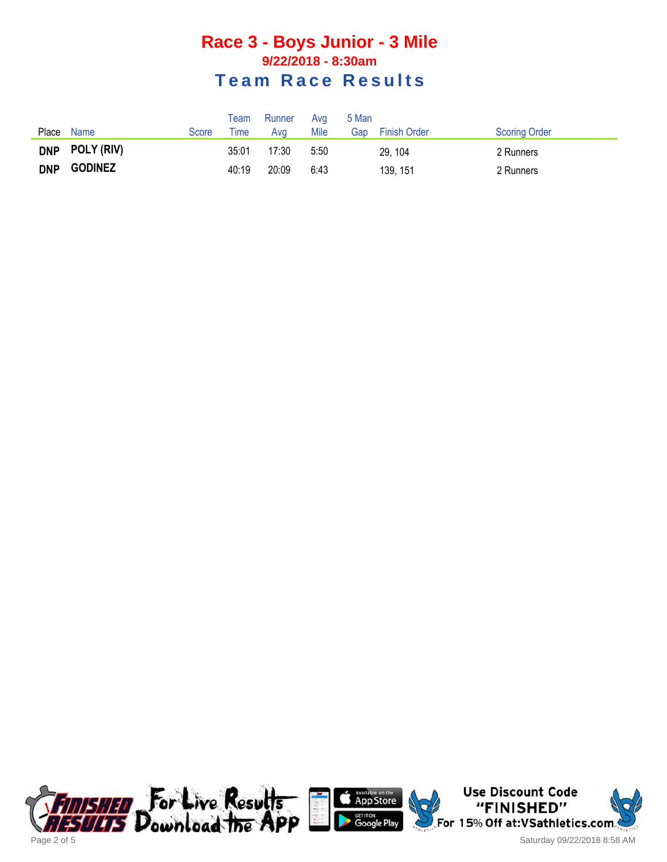### **Race 3 - Boys Junior - 3 Mile 9/22/2018 - 8:30am Team Race Results**

|            |                |       | $\mathsf{Team}$ | Runner | Ava  | 5 Man |                     |                      |
|------------|----------------|-------|-----------------|--------|------|-------|---------------------|----------------------|
| Place      | Name           | Score | l ime           | Ava    | Mile | Gap   | <b>Finish Order</b> | <b>Scoring Order</b> |
| <b>DNP</b> | POLY (RIV)     |       | 35:01           | 17:30  | 5:50 |       | 29, 104             | 2 Runners            |
| <b>DNP</b> | <b>GODINEZ</b> |       | 40:19           | 20:09  | 6:43 |       | 139, 151            | 2 Runners            |





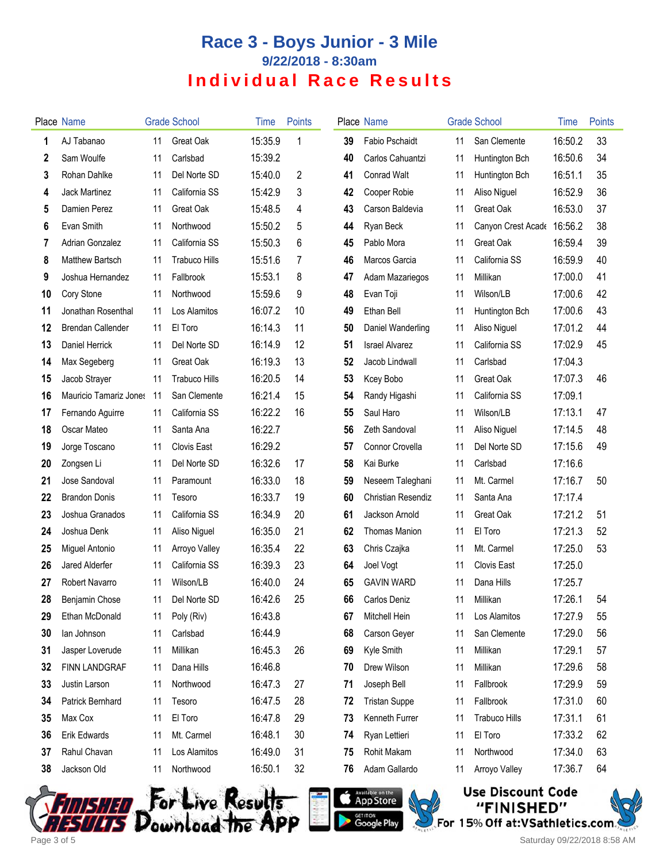# **Race 3 - Boys Junior - 3 Mile 9/22/2018 - 8:30am Individual Race Results**

|    | Place Name               |      | <b>Grade School</b>  | Time    | <b>Points</b> |    | Place Name                |    | <b>Grade School</b>  | Time    | <b>Points</b> |
|----|--------------------------|------|----------------------|---------|---------------|----|---------------------------|----|----------------------|---------|---------------|
| 1  | AJ Tabanao               | 11   | Great Oak            | 15:35.9 | 1             | 39 | <b>Fabio Pschaidt</b>     | 11 | San Clemente         | 16:50.2 | 33            |
| 2  | Sam Woulfe               | 11   | Carlsbad             | 15:39.2 |               | 40 | Carlos Cahuantzi          | 11 | Huntington Bch       | 16:50.6 | 34            |
| 3  | Rohan Dahlke             | 11   | Del Norte SD         | 15:40.0 | 2             | 41 | <b>Conrad Walt</b>        | 11 | Huntington Bch       | 16:51.1 | 35            |
| 4  | Jack Martinez            | 11   | California SS        | 15:42.9 | 3             | 42 | Cooper Robie              | 11 | Aliso Niguel         | 16:52.9 | 36            |
| 5  | Damien Perez             | 11   | Great Oak            | 15:48.5 | 4             | 43 | Carson Baldevia           | 11 | Great Oak            | 16:53.0 | 37            |
| 6  | Evan Smith               | 11   | Northwood            | 15:50.2 | 5             | 44 | Ryan Beck                 | 11 | Canyon Crest Acade   | 16:56.2 | 38            |
| 7  | Adrian Gonzalez          | 11   | California SS        | 15:50.3 | 6             | 45 | Pablo Mora                | 11 | Great Oak            | 16:59.4 | 39            |
| 8  | <b>Matthew Bartsch</b>   | 11   | <b>Trabuco Hills</b> | 15:51.6 | 7             | 46 | Marcos Garcia             | 11 | California SS        | 16:59.9 | 40            |
| 9  | Joshua Hernandez         | 11   | Fallbrook            | 15:53.1 | 8             | 47 | Adam Mazariegos           | 11 | Millikan             | 17:00.0 | 41            |
| 10 | Cory Stone               | 11   | Northwood            | 15:59.6 | 9             | 48 | Evan Toji                 | 11 | Wilson/LB            | 17:00.6 | 42            |
| 11 | Jonathan Rosenthal       | 11   | Los Alamitos         | 16:07.2 | 10            | 49 | Ethan Bell                | 11 | Huntington Bch       | 17:00.6 | 43            |
| 12 | <b>Brendan Callender</b> | 11   | El Toro              | 16:14.3 | 11            | 50 | Daniel Wanderling         | 11 | Aliso Niguel         | 17:01.2 | 44            |
| 13 | Daniel Herrick           | 11   | Del Norte SD         | 16:14.9 | 12            | 51 | <b>Israel Alvarez</b>     | 11 | California SS        | 17:02.9 | 45            |
| 14 | Max Segeberg             | 11   | Great Oak            | 16:19.3 | 13            | 52 | Jacob Lindwall            | 11 | Carlsbad             | 17:04.3 |               |
| 15 | Jacob Strayer            | 11   | <b>Trabuco Hills</b> | 16:20.5 | 14            | 53 | Kcey Bobo                 | 11 | Great Oak            | 17:07.3 | 46            |
| 16 | Mauricio Tamariz Jones   | - 11 | San Clemente         | 16:21.4 | 15            | 54 | Randy Higashi             | 11 | California SS        | 17:09.1 |               |
| 17 | Fernando Aguirre         | 11   | California SS        | 16:22.2 | 16            | 55 | Saul Haro                 | 11 | Wilson/LB            | 17:13.1 | 47            |
| 18 | Oscar Mateo              | 11   | Santa Ana            | 16:22.7 |               | 56 | Zeth Sandoval             | 11 | Aliso Niguel         | 17:14.5 | 48            |
| 19 | Jorge Toscano            | 11   | <b>Clovis East</b>   | 16:29.2 |               | 57 | Connor Crovella           | 11 | Del Norte SD         | 17:15.6 | 49            |
| 20 | Zongsen Li               | 11   | Del Norte SD         | 16:32.6 | 17            | 58 | Kai Burke                 | 11 | Carlsbad             | 17:16.6 |               |
| 21 | Jose Sandoval            | 11   | Paramount            | 16:33.0 | 18            | 59 | Neseem Taleghani          | 11 | Mt. Carmel           | 17:16.7 | 50            |
| 22 | <b>Brandon Donis</b>     | 11   | Tesoro               | 16:33.7 | 19            | 60 | <b>Christian Resendiz</b> | 11 | Santa Ana            | 17:17.4 |               |
| 23 | Joshua Granados          | 11   | California SS        | 16:34.9 | 20            | 61 | Jackson Arnold            | 11 | Great Oak            | 17:21.2 | 51            |
| 24 | Joshua Denk              | 11   | Aliso Niguel         | 16:35.0 | 21            | 62 | <b>Thomas Manion</b>      | 11 | El Toro              | 17:21.3 | 52            |
| 25 | Miguel Antonio           | 11   | Arroyo Valley        | 16:35.4 | 22            | 63 | Chris Czajka              | 11 | Mt. Carmel           | 17:25.0 | 53            |
| 26 | Jared Alderfer           | 11   | California SS        | 16:39.3 | 23            | 64 | Joel Vogt                 | 11 | <b>Clovis East</b>   | 17:25.0 |               |
| 27 | Robert Navarro           | 11   | Wilson/LB            | 16:40.0 | 24            | 65 | <b>GAVIN WARD</b>         | 11 | Dana Hills           | 17:25.7 |               |
| 28 | Benjamin Chose           | 11   | Del Norte SD         | 16:42.6 | 25            | 66 | Carlos Deniz              | 11 | Millikan             | 17:26.1 | 54            |
| 29 | Ethan McDonald           | 11   | Poly (Riv)           | 16:43.8 |               | 67 | Mitchell Hein             | 11 | Los Alamitos         | 17:27.9 | 55            |
| 30 | lan Johnson              | 11   | Carlsbad             | 16:44.9 |               | 68 | Carson Geyer              | 11 | San Clemente         | 17:29.0 | 56            |
| 31 | Jasper Loverude          | 11   | Millikan             | 16:45.3 | 26            | 69 | Kyle Smith                | 11 | Millikan             | 17:29.1 | 57            |
| 32 | <b>FINN LANDGRAF</b>     | 11   | Dana Hills           | 16:46.8 |               | 70 | Drew Wilson               | 11 | Millikan             | 17:29.6 | 58            |
| 33 | Justin Larson            | 11   | Northwood            | 16:47.3 | 27            | 71 | Joseph Bell               | 11 | Fallbrook            | 17:29.9 | 59            |
| 34 | Patrick Bernhard         | 11   | Tesoro               | 16:47.5 | 28            | 72 | <b>Tristan Suppe</b>      | 11 | Fallbrook            | 17:31.0 | 60            |
| 35 | Max Cox                  | 11   | El Toro              | 16:47.8 | 29            | 73 | Kenneth Furrer            | 11 | <b>Trabuco Hills</b> | 17:31.1 | 61            |
| 36 | Erik Edwards             | 11   | Mt. Carmel           | 16:48.1 | 30            | 74 | Ryan Lettieri             | 11 | El Toro              | 17:33.2 | 62            |
| 37 | Rahul Chavan             | 11   | Los Alamitos         | 16:49.0 | 31            | 75 | Rohit Makam               | 11 | Northwood            | 17:34.0 | 63            |
| 38 | Jackson Old              | 11   | Northwood            | 16:50.1 | 32            | 76 | Adam Gallardo             | 11 | Arroyo Valley        | 17:36.7 | 64            |







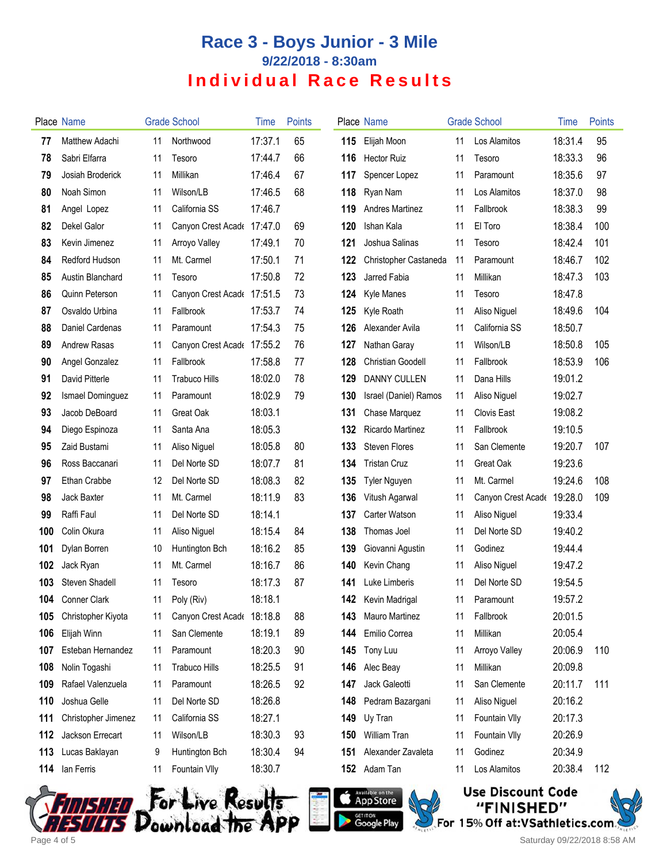# **Race 3 - Boys Junior - 3 Mile 9/22/2018 - 8:30am Individual Race Results**

|     | Place Name          |    | <b>Grade School</b>        | Time    | <b>Points</b> |     | Place Name             |    | <b>Grade School</b>        | Time    | Points |
|-----|---------------------|----|----------------------------|---------|---------------|-----|------------------------|----|----------------------------|---------|--------|
| 77  | Matthew Adachi      | 11 | Northwood                  | 17:37.1 | 65            | 115 | Elijah Moon            | 11 | Los Alamitos               | 18:31.4 | 95     |
| 78  | Sabri Elfarra       | 11 | Tesoro                     | 17:44.7 | 66            | 116 | <b>Hector Ruiz</b>     | 11 | Tesoro                     | 18:33.3 | 96     |
| 79  | Josiah Broderick    | 11 | Millikan                   | 17:46.4 | 67            | 117 | Spencer Lopez          | 11 | Paramount                  | 18:35.6 | 97     |
| 80  | Noah Simon          | 11 | Wilson/LB                  | 17:46.5 | 68            | 118 | Ryan Nam               | 11 | Los Alamitos               | 18:37.0 | 98     |
| 81  | Angel Lopez         | 11 | California SS              | 17:46.7 |               | 119 | <b>Andres Martinez</b> | 11 | Fallbrook                  | 18:38.3 | 99     |
| 82  | Dekel Galor         | 11 | Canyon Crest Acade         | 17:47.0 | 69            | 120 | Ishan Kala             | 11 | El Toro                    | 18:38.4 | 100    |
| 83  | Kevin Jimenez       | 11 | Arroyo Valley              | 17:49.1 | 70            | 121 | Joshua Salinas         | 11 | Tesoro                     | 18:42.4 | 101    |
| 84  | Redford Hudson      | 11 | Mt. Carmel                 | 17:50.1 | 71            | 122 | Christopher Castaneda  | 11 | Paramount                  | 18:46.7 | 102    |
| 85  | Austin Blanchard    | 11 | Tesoro                     | 17:50.8 | 72            | 123 | Jarred Fabia           | 11 | Millikan                   | 18:47.3 | 103    |
| 86  | Quinn Peterson      | 11 | Canyon Crest Acade 17:51.5 |         | 73            | 124 | Kyle Manes             | 11 | Tesoro                     | 18:47.8 |        |
| 87  | Osvaldo Urbina      | 11 | Fallbrook                  | 17:53.7 | 74            | 125 | Kyle Roath             | 11 | Aliso Niguel               | 18:49.6 | 104    |
| 88  | Daniel Cardenas     | 11 | Paramount                  | 17:54.3 | 75            | 126 | Alexander Avila        | 11 | California SS              | 18:50.7 |        |
| 89  | <b>Andrew Rasas</b> | 11 | Canyon Crest Acade         | 17:55.2 | 76            | 127 | Nathan Garay           | 11 | Wilson/LB                  | 18:50.8 | 105    |
| 90  | Angel Gonzalez      | 11 | Fallbrook                  | 17:58.8 | 77            | 128 | Christian Goodell      | 11 | Fallbrook                  | 18:53.9 | 106    |
| 91  | David Pitterle      | 11 | <b>Trabuco Hills</b>       | 18:02.0 | 78            | 129 | <b>DANNY CULLEN</b>    | 11 | Dana Hills                 | 19:01.2 |        |
| 92  | Ismael Dominguez    | 11 | Paramount                  | 18:02.9 | 79            | 130 | Israel (Daniel) Ramos  | 11 | Aliso Niguel               | 19:02.7 |        |
| 93  | Jacob DeBoard       | 11 | Great Oak                  | 18:03.1 |               | 131 | Chase Marquez          | 11 | <b>Clovis East</b>         | 19:08.2 |        |
| 94  | Diego Espinoza      | 11 | Santa Ana                  | 18:05.3 |               | 132 | Ricardo Martinez       | 11 | Fallbrook                  | 19:10.5 |        |
| 95  | Zaid Bustami        | 11 | Aliso Niguel               | 18:05.8 | 80            | 133 | <b>Steven Flores</b>   | 11 | San Clemente               | 19:20.7 | 107    |
| 96  | Ross Baccanari      | 11 | Del Norte SD               | 18:07.7 | 81            | 134 | <b>Tristan Cruz</b>    | 11 | Great Oak                  | 19:23.6 |        |
| 97  | Ethan Crabbe        | 12 | Del Norte SD               | 18:08.3 | 82            | 135 | Tyler Nguyen           | 11 | Mt. Carmel                 | 19:24.6 | 108    |
| 98  | Jack Baxter         | 11 | Mt. Carmel                 | 18:11.9 | 83            | 136 | Vitush Agarwal         | 11 | Canyon Crest Acade 19:28.0 |         | 109    |
| 99  | Raffi Faul          | 11 | Del Norte SD               | 18:14.1 |               | 137 | Carter Watson          | 11 | Aliso Niguel               | 19:33.4 |        |
| 100 | Colin Okura         | 11 | Aliso Niguel               | 18:15.4 | 84            | 138 | Thomas Joel            | 11 | Del Norte SD               | 19:40.2 |        |
| 101 | Dylan Borren        | 10 | Huntington Bch             | 18:16.2 | 85            | 139 | Giovanni Agustin       | 11 | Godinez                    | 19:44.4 |        |
| 102 | Jack Ryan           | 11 | Mt. Carmel                 | 18:16.7 | 86            | 140 | Kevin Chang            | 11 | Aliso Niguel               | 19:47.2 |        |
| 103 | Steven Shadell      | 11 | Tesoro                     | 18:17.3 | 87            | 141 | Luke Limberis          | 11 | Del Norte SD               | 19:54.5 |        |
| 104 | <b>Conner Clark</b> | 11 | Poly (Riv)                 | 18:18.1 |               | 142 | Kevin Madrigal         | 11 | Paramount                  | 19:57.2 |        |
| 105 | Christopher Kiyota  | 11 | Canyon Crest Acade 18:18.8 |         | 88            | 143 | <b>Mauro Martinez</b>  | 11 | Fallbrook                  | 20:01.5 |        |
| 106 | Elijah Winn         | 11 | San Clemente               | 18:19.1 | 89            | 144 | Emilio Correa          | 11 | Millikan                   | 20:05.4 |        |
| 107 | Esteban Hernandez   | 11 | Paramount                  | 18:20.3 | 90            | 145 | Tony Luu               | 11 | Arroyo Valley              | 20:06.9 | 110    |
| 108 | Nolin Togashi       | 11 | <b>Trabuco Hills</b>       | 18:25.5 | 91            | 146 | Alec Beay              | 11 | Millikan                   | 20:09.8 |        |
| 109 | Rafael Valenzuela   | 11 | Paramount                  | 18:26.5 | 92            | 147 | Jack Galeotti          | 11 | San Clemente               | 20:11.7 | 111    |
| 110 | Joshua Gelle        | 11 | Del Norte SD               | 18:26.8 |               | 148 | Pedram Bazargani       | 11 | Aliso Niguel               | 20:16.2 |        |
| 111 | Christopher Jimenez | 11 | California SS              | 18:27.1 |               | 149 | Uy Tran                | 11 | Fountain VIIy              | 20:17.3 |        |
| 112 | Jackson Errecart    | 11 | Wilson/LB                  | 18:30.3 | 93            | 150 | William Tran           | 11 | Fountain VIIy              | 20:26.9 |        |
| 113 | Lucas Baklayan      | 9  | Huntington Bch             | 18:30.4 | 94            | 151 | Alexander Zavaleta     | 11 | Godinez                    | 20:34.9 |        |
| 114 | lan Ferris          | 11 | Fountain VIIy              | 18:30.7 |               |     | 152 Adam Tan           | 11 | Los Alamitos               | 20:38.4 | 112    |